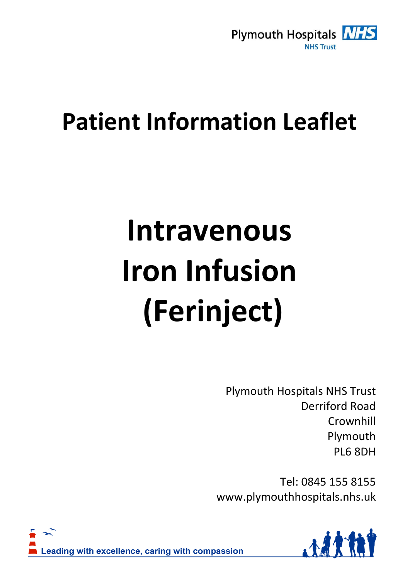

# **Patient Information Leaflet**

# **Intravenous Iron Infusion (Ferinject)**

Plymouth Hospitals NHS Trust Derriford Road Crownhill Plymouth PL6 8DH

Tel: 0845 155 8155 www.plymouthhospitals.nhs.uk



Leading with excellence, caring with compassion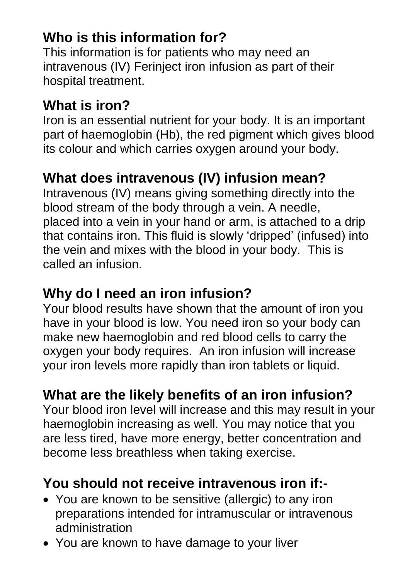# **Who is this information for?**

This information is for patients who may need an intravenous (IV) Ferinject iron infusion as part of their hospital treatment.

#### **What is iron?**

Iron is an essential nutrient for your body. It is an important part of haemoglobin (Hb), the red pigment which gives blood its colour and which carries oxygen around your body.

# **What does intravenous (IV) infusion mean?**

Intravenous (IV) means giving something directly into the blood stream of the body through a vein. A needle, placed into a vein in your hand or arm, is attached to a drip that contains iron. This fluid is slowly 'dripped' (infused) into the vein and mixes with the blood in your body. This is called an infusion.

#### **Why do I need an iron infusion?**

Your blood results have shown that the amount of iron you have in your blood is low. You need iron so your body can make new haemoglobin and red blood cells to carry the oxygen your body requires. An iron infusion will increase your iron levels more rapidly than iron tablets or liquid.

# **What are the likely benefits of an iron infusion?**

Your blood iron level will increase and this may result in your haemoglobin increasing as well. You may notice that you are less tired, have more energy, better concentration and become less breathless when taking exercise.

#### **You should not receive intravenous iron if:-**

- You are known to be sensitive (allergic) to any iron preparations intended for intramuscular or intravenous administration
- You are known to have damage to your liver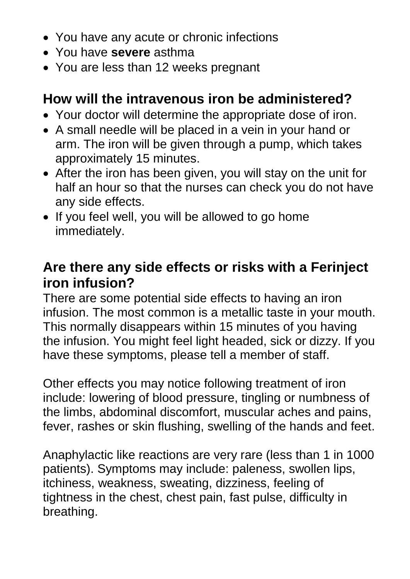- You have any acute or chronic infections
- You have **severe** asthma
- You are less than 12 weeks pregnant

#### **How will the intravenous iron be administered?**

- Your doctor will determine the appropriate dose of iron.
- A small needle will be placed in a vein in your hand or arm. The iron will be given through a pump, which takes approximately 15 minutes.
- After the iron has been given, you will stay on the unit for half an hour so that the nurses can check you do not have any side effects.
- If you feel well, you will be allowed to go home immediately.

#### **Are there any side effects or risks with a Ferinject iron infusion?**

There are some potential side effects to having an iron infusion. The most common is a metallic taste in your mouth. This normally disappears within 15 minutes of you having the infusion. You might feel light headed, sick or dizzy. If you have these symptoms, please tell a member of staff.

Other effects you may notice following treatment of iron include: lowering of blood pressure, tingling or numbness of the limbs, abdominal discomfort, muscular aches and pains, fever, rashes or skin flushing, swelling of the hands and feet.

Anaphylactic like reactions are very rare (less than 1 in 1000 patients). Symptoms may include: paleness, swollen lips, itchiness, weakness, sweating, dizziness, feeling of tightness in the chest, chest pain, fast pulse, difficulty in breathing.